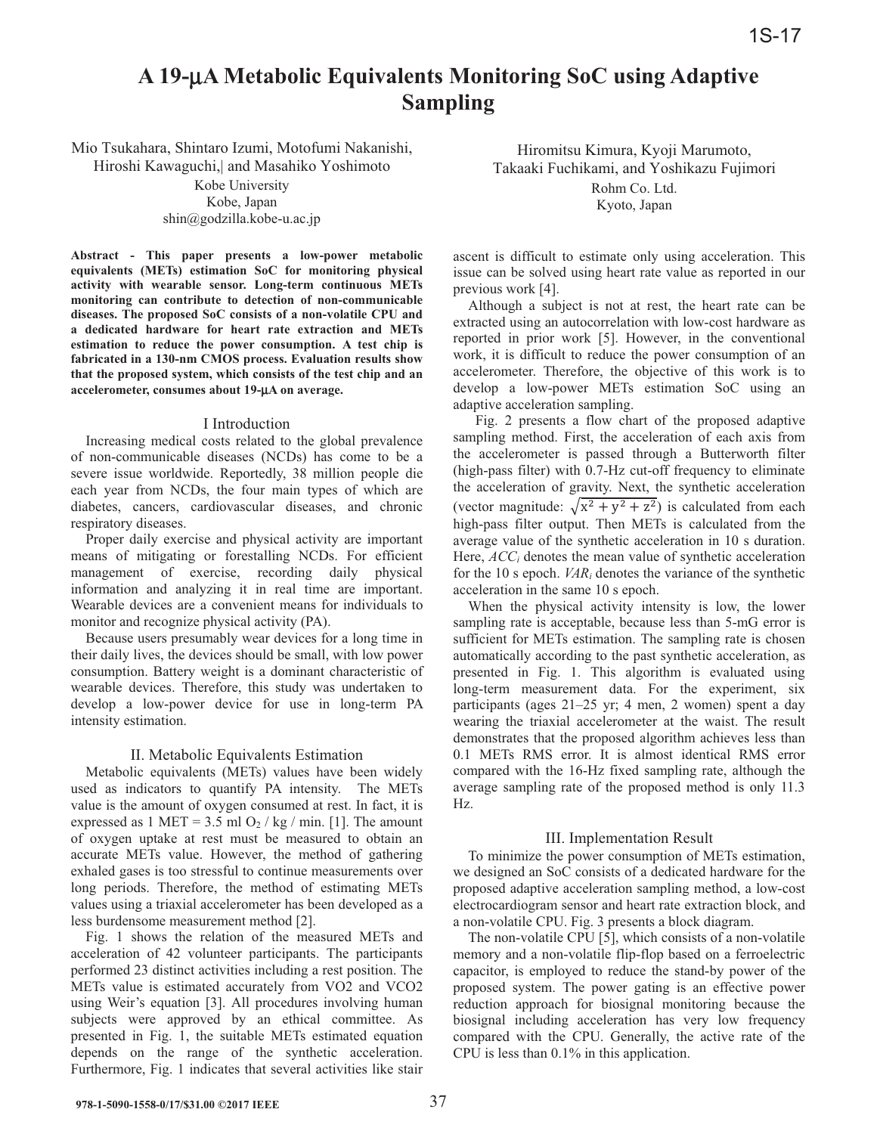# A 19-µA Metabolic Equivalents Monitoring SoC using Adaptive **Sampling**

Mio Tsukahara, Shintaro Izumi, Motofumi Nakanishi, Hiroshi Kawaguchi, and Masahiko Yoshimoto

> Kobe University Kobe, Japan  $\sin(\omega)$ godzilla.kobe-u.ac.jp

Abstract - This paper presents a low-power metabolic equivalents (METs) estimation SoC for monitoring physical activity with wearable sensor. Long-term continuous METs monitoring can contribute to detection of non-communicable diseases. The proposed SoC consists of a non-volatile CPU and a dedicated hardware for heart rate extraction and METs estimation to reduce the power consumption. A test chip is fabricated in a 130-nm CMOS process. Evaluation results show that the proposed system, which consists of the test chip and an accelerometer, consumes about 19-µA on average.

#### I Introduction

Increasing medical costs related to the global prevalence of non-communicable diseases (NCDs) has come to be a severe issue worldwide. Reportedly, 38 million people die each year from NCDs, the four main types of which are diabetes, cancers, cardiovascular diseases, and chronic respiratory diseases.

Proper daily exercise and physical activity are important means of mitigating or forestalling NCDs. For efficient management of exercise, recording daily physical information and analyzing it in real time are important. Wearable devices are a convenient means for individuals to monitor and recognize physical activity (PA).

Because users presumably wear devices for a long time in their daily lives, the devices should be small, with low power consumption. Battery weight is a dominant characteristic of wearable devices. Therefore, this study was undertaken to develop a low-power device for use in long-term PA intensity estimation.

### II. Metabolic Equivalents Estimation

Metabolic equivalents (METs) values have been widely used as indicators to quantify PA intensity. The METs value is the amount of oxygen consumed at rest. In fact, it is expressed as  $1 \text{ MET} = 3.5 \text{ ml } O_2 / \text{ kg } / \text{ min. } [1]$ . The amount of oxygen uptake at rest must be measured to obtain an accurate METs value. However, the method of gathering exhaled gases is too stressful to continue measurements over long periods. Therefore, the method of estimating METs values using a triaxial accelerometer has been developed as a less burdensome measurement method [2].

Fig. 1 shows the relation of the measured METs and acceleration of 42 volunteer participants. The participants performed 23 distinct activities including a rest position. The METs value is estimated accurately from VO2 and VCO2 using Weir's equation [3]. All procedures involving human subjects were approved by an ethical committee. As presented in Fig. 1, the suitable METs estimated equation depends on the range of the synthetic acceleration. Furthermore, Fig. 1 indicates that several activities like stair

Hiromitsu Kimura, Kyoji Marumoto, Takaaki Fuchikami, and Yoshikazu Fujimori Rohm Co. Ltd. Kyoto, Japan

ascent is difficult to estimate only using acceleration. This issue can be solved using heart rate value as reported in our previous work [4].

Although a subject is not at rest, the heart rate can be extracted using an autocorrelation with low-cost hardware as reported in prior work [5]. However, in the conventional work, it is difficult to reduce the power consumption of an accelerometer. Therefore, the objective of this work is to develop a low-power METs estimation SoC using an adaptive acceleration sampling.

Fig. 2 presents a flow chart of the proposed adaptive sampling method. First, the acceleration of each axis from the accelerometer is passed through a Butterworth filter (high-pass filter) with 0.7-Hz cut-off frequency to eliminate the acceleration of gravity. Next, the synthetic acceleration (vector magnitude:  $\sqrt{x^2 + y^2 + z^2}$ ) is calculated from each high-pass filter output. Then METs is calculated from the average value of the synthetic acceleration in 10 s duration. Here,  $ACC<sub>i</sub>$  denotes the mean value of synthetic acceleration for the 10 s epoch.  $VAR_i$  denotes the variance of the synthetic acceleration in the same 10 s epoch.

When the physical activity intensity is low, the lower sampling rate is acceptable, because less than 5-mG error is sufficient for METs estimation. The sampling rate is chosen automatically according to the past synthetic acceleration, as presented in Fig. 1. This algorithm is evaluated using long-term measurement data. For the experiment, six participants (ages 21–25 yr; 4 men, 2 women) spent a day wearing the triaxial accelerometer at the waist. The result demonstrates that the proposed algorithm achieves less than 0.1 METs RMS error. It is almost identical RMS error compared with the 16-Hz fixed sampling rate, although the average sampling rate of the proposed method is only 11.3 Hz.

### III. Implementation Result

To minimize the power consumption of METs estimation, we designed an SoC consists of a dedicated hardware for the proposed adaptive acceleration sampling method, a low-cost electrocardiogram sensor and heart rate extraction block, and a non-volatile CPU. Fig. 3 presents a block diagram.

The non-volatile CPU [5], which consists of a non-volatile memory and a non-volatile flip-flop based on a ferroelectric capacitor, is employed to reduce the stand-by power of the proposed system. The power gating is an effective power reduction approach for biosignal monitoring because the biosignal including acceleration has very low frequency compared with the CPU. Generally, the active rate of the CPU is less than  $0.1\%$  in this application.